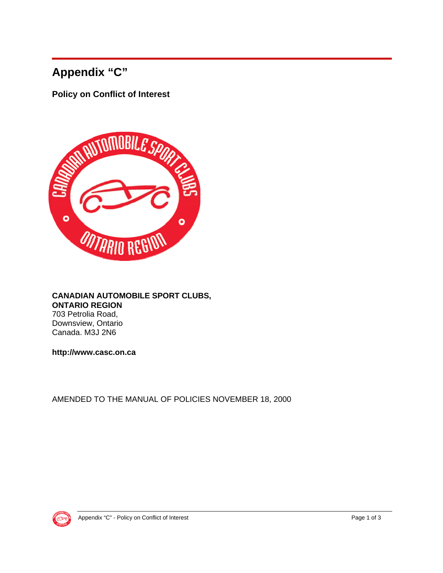# **Appendix "C"**

**Policy on Conflict of Interest** 



#### **CANADIAN AUTOMOBILE SPORT CLUBS, ONTARIO REGION** 703 Petrolia Road, Downsview, Ontario Canada. M3J 2N6

**http://www.casc.on.ca** 

AMENDED TO THE MANUAL OF POLICIES NOVEMBER 18, 2000

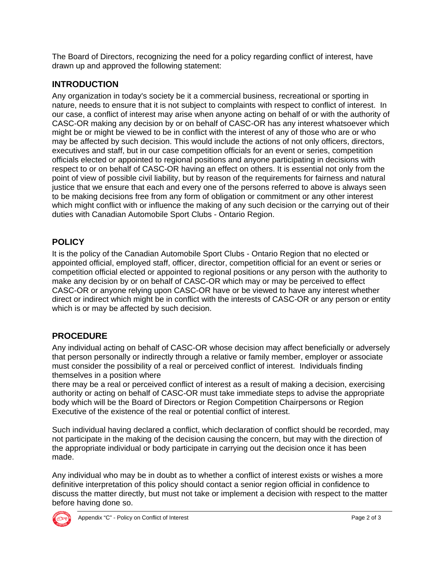The Board of Directors, recognizing the need for a policy regarding conflict of interest, have drawn up and approved the following statement:

### **INTRODUCTION**

Any organization in today's society be it a commercial business, recreational or sporting in nature, needs to ensure that it is not subject to complaints with respect to conflict of interest. In our case, a conflict of interest may arise when anyone acting on behalf of or with the authority of CASC-OR making any decision by or on behalf of CASC-OR has any interest whatsoever which might be or might be viewed to be in conflict with the interest of any of those who are or who may be affected by such decision. This would include the actions of not only officers, directors, executives and staff, but in our case competition officials for an event or series, competition officials elected or appointed to regional positions and anyone participating in decisions with respect to or on behalf of CASC-OR having an effect on others. It is essential not only from the point of view of possible civil liability, but by reason of the requirements for fairness and natural justice that we ensure that each and every one of the persons referred to above is always seen to be making decisions free from any form of obligation or commitment or any other interest which might conflict with or influence the making of any such decision or the carrying out of their duties with Canadian Automobile Sport Clubs - Ontario Region.

### **POLICY**

It is the policy of the Canadian Automobile Sport Clubs - Ontario Region that no elected or appointed official, employed staff, officer, director, competition official for an event or series or competition official elected or appointed to regional positions or any person with the authority to make any decision by or on behalf of CASC-OR which may or may be perceived to effect CASC-OR or anyone relying upon CASC-OR have or be viewed to have any interest whether direct or indirect which might be in conflict with the interests of CASC-OR or any person or entity which is or may be affected by such decision.

## **PROCEDURE**

Any individual acting on behalf of CASC-OR whose decision may affect beneficially or adversely that person personally or indirectly through a relative or family member, employer or associate must consider the possibility of a real or perceived conflict of interest. Individuals finding themselves in a position where

there may be a real or perceived conflict of interest as a result of making a decision, exercising authority or acting on behalf of CASC-OR must take immediate steps to advise the appropriate body which will be the Board of Directors or Region Competition Chairpersons or Region Executive of the existence of the real or potential conflict of interest.

Such individual having declared a conflict, which declaration of conflict should be recorded, may not participate in the making of the decision causing the concern, but may with the direction of the appropriate individual or body participate in carrying out the decision once it has been made.

Any individual who may be in doubt as to whether a conflict of interest exists or wishes a more definitive interpretation of this policy should contact a senior region official in confidence to discuss the matter directly, but must not take or implement a decision with respect to the matter before having done so.